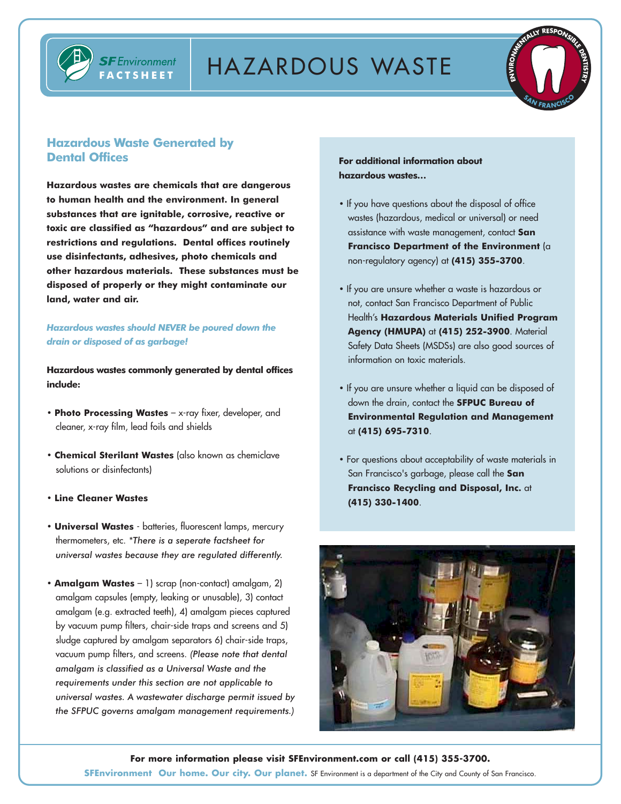



# **Hazardous Waste Generated by Dental Offices**

**FACTSHEET**

**SF** Environment

**Hazardous wastes are chemicals that are dangerous to human health and the environment. In general substances that are ignitable, corrosive, reactive or toxic are classified as "hazardous" and are subject to restrictions and regulations. Dental offices routinely use disinfectants, adhesives, photo chemicals and other hazardous materials. These substances must be disposed of properly or they might contaminate our land, water and air.** 

# *Hazardous wastes should NEVER be poured down the drain or disposed of as garbage!*

**Hazardous wastes commonly generated by dental offices include:**

- **Photo Processing Wastes** x-ray fixer, developer, and cleaner, x-ray film, lead foils and shields
- **Chemical Sterilant Wastes** (also known as chemiclave solutions or disinfectants)
- **Line Cleaner Wastes**
- **Universal Wastes** batteries, fluorescent lamps, mercury thermometers, etc. *\*There is a seperate factsheet for universal wastes because they are regulated differently.*
- **Amalgam Wastes** 1) scrap (non-contact) amalgam, 2) amalgam capsules (empty, leaking or unusable), 3) contact amalgam (e.g. extracted teeth), 4) amalgam pieces captured by vacuum pump filters, chair-side traps and screens and 5) sludge captured by amalgam separators 6) chair-side traps, vacuum pump filters, and screens. *(Please note that dental amalgam is classified as a Universal Waste and the requirements under this section are not applicable to universal wastes. A wastewater discharge permit issued by the SFPUC governs amalgam management requirements.)*

**For additional information about hazardous wastes…**

- If you have questions about the disposal of office wastes (hazardous, medical or universal) or need assistance with waste management, contact **San Francisco Department of the Environment** (a non-regulatory agency) at **(415) 355-3700**.
- If you are unsure whether a waste is hazardous or not, contact San Francisco Department of Public Health's **Hazardous Materials Unified Program Agency (HMUPA)** at **(415) 252-3900**. Material Safety Data Sheets (MSDSs) are also good sources of information on toxic materials.
- If you are unsure whether a liquid can be disposed of down the drain, contact the **SFPUC Bureau of Environmental Regulation and Management** at **(415) 695-7310**.
- For questions about acceptability of waste materials in San Francisco's garbage, please call the **San Francisco Recycling and Disposal, Inc.** at **(415) 330-1400**.



**For more information please visit SFEnvironment.com or call (415) 355-3700. SFEnvironment Our home. Our city. Our planet.** SF Environment is a department of the City and County of San Francisco.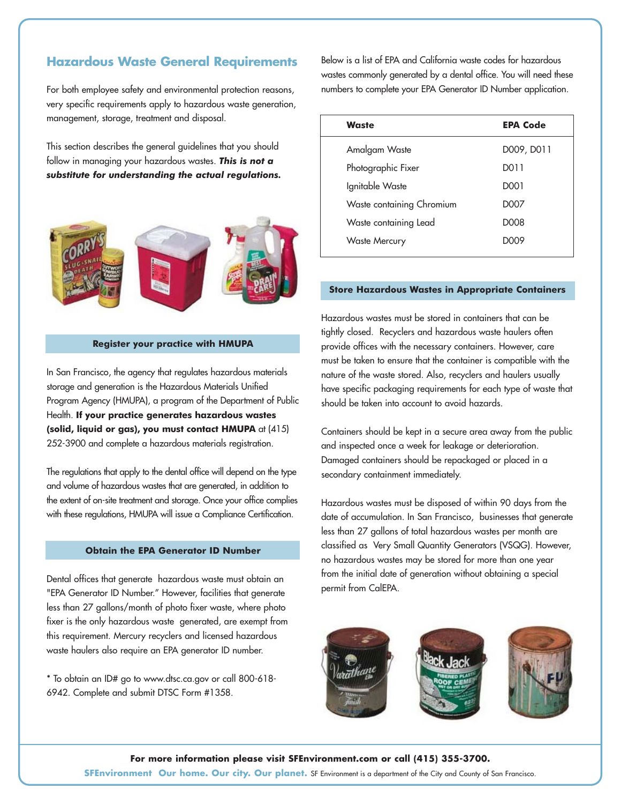# **Hazardous Waste General Requirements**

For both employee safety and environmental protection reasons, very specific requirements apply to hazardous waste generation, management, storage, treatment and disposal.

This section describes the general guidelines that you should follow in managing your hazardous wastes. *This is not a substitute for understanding the actual regulations.*



### **Register your practice with HMUPA**

In San Francisco, the agency that regulates hazardous materials storage and generation is the Hazardous Materials Unified Program Agency (HMUPA), a program of the Department of Public Health. **If your practice generates hazardous wastes (solid, liquid or gas), you must contact HMUPA** at (415) 252-3900 and complete a hazardous materials registration.

The regulations that apply to the dental office will depend on the type and volume of hazardous wastes that are generated, in addition to the extent of on-site treatment and storage. Once your office complies with these regulations, HMUPA will issue a Compliance Certification.

### **Obtain the EPA Generator ID Number**

Dental offices that generate hazardous waste must obtain an "EPA Generator ID Number." However, facilities that generate less than 27 gallons/month of photo fixer waste, where photo fixer is the only hazardous waste generated, are exempt from this requirement. Mercury recyclers and licensed hazardous waste haulers also require an EPA generator ID number.

\* To obtain an ID# go to www.dtsc.ca.gov or call 800-618- 6942. Complete and submit DTSC Form #1358.

Below is a list of EPA and California waste codes for hazardous wastes commonly generated by a dental office. You will need these numbers to complete your EPA Generator ID Number application.

| <b>Waste</b>              | <b>EPA Code</b>  |
|---------------------------|------------------|
| Amalgam Waste             | D009, D011       |
| Photographic Fixer        | D011             |
| Ignitable Waste           | D001             |
| Waste containing Chromium | D007             |
| Waste containing Lead     | D <sub>008</sub> |
| <b>Waste Mercury</b>      | D009             |
|                           |                  |

### **Store Hazardous Wastes in Appropriate Containers**

Hazardous wastes must be stored in containers that can be tightly closed. Recyclers and hazardous waste haulers often provide offices with the necessary containers. However, care must be taken to ensure that the container is compatible with the nature of the waste stored. Also, recyclers and haulers usually have specific packaging requirements for each type of waste that should be taken into account to avoid hazards.

Containers should be kept in a secure area away from the public and inspected once a week for leakage or deterioration. Damaged containers should be repackaged or placed in a secondary containment immediately.

Hazardous wastes must be disposed of within 90 days from the date of accumulation. In San Francisco, businesses that generate less than 27 gallons of total hazardous wastes per month are classified as Very Small Quantity Generators (VSQG). However, no hazardous wastes may be stored for more than one year from the initial date of generation without obtaining a special permit from CalEPA.



**For more information please visit SFEnvironment.com or call (415) 355-3700.**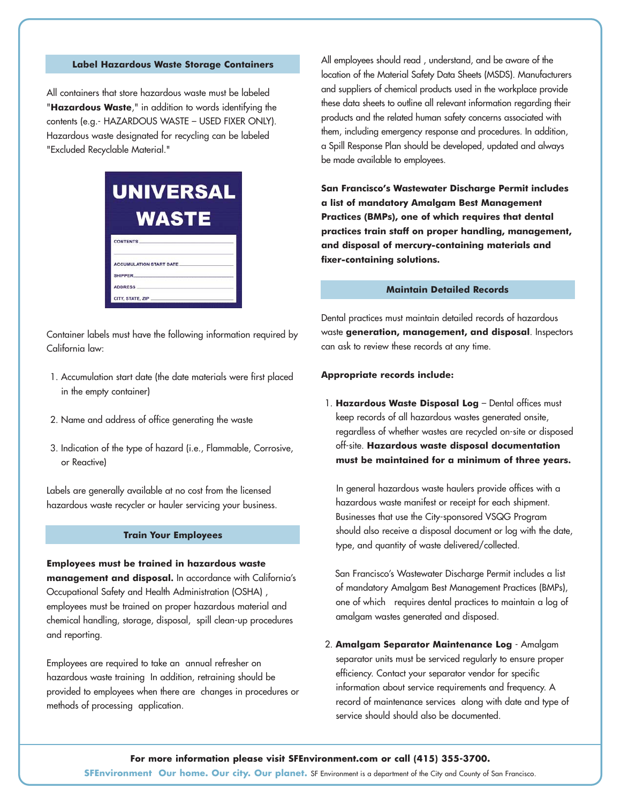## **Label Hazardous Waste Storage Containers**

All containers that store hazardous waste must be labeled "**Hazardous Waste**," in addition to words identifying the contents (e.g.- HAZARDOUS WASTE – USED FIXER ONLY). Hazardous waste designated for recycling can be labeled "Excluded Recyclable Material."

| <b>UNIVERSAL</b> |                                |
|------------------|--------------------------------|
|                  | WASTE                          |
| <b>CONTENTS</b>  |                                |
| <b>SHIPPER</b>   | <b>ACCUMULATION START DATE</b> |
| <b>ADDRESS</b>   | CITY, STATE, ZIP               |

Container labels must have the following information required by California law:

- 1. Accumulation start date (the date materials were first placed in the empty container)
- 2. Name and address of office generating the waste
- 3. Indication of the type of hazard (i.e., Flammable, Corrosive, or Reactive)

Labels are generally available at no cost from the licensed hazardous waste recycler or hauler servicing your business.

## **Train Your Employees**

**Employees must be trained in hazardous waste management and disposal.** In accordance with California's Occupational Safety and Health Administration (OSHA) , employees must be trained on proper hazardous material and chemical handling, storage, disposal, spill clean-up procedures and reporting.

Employees are required to take an annual refresher on hazardous waste training In addition, retraining should be provided to employees when there are changes in procedures or methods of processing application.

All employees should read , understand, and be aware of the location of the Material Safety Data Sheets (MSDS). Manufacturers and suppliers of chemical products used in the workplace provide these data sheets to outline all relevant information regarding their products and the related human safety concerns associated with them, including emergency response and procedures. In addition, a Spill Response Plan should be developed, updated and always be made available to employees.

**San Francisco's Wastewater Discharge Permit includes a list of mandatory Amalgam Best Management Practices (BMPs), one of which requires that dental practices train staff on proper handling, management, and disposal of mercury-containing materials and fixer-containing solutions.**

### **Maintain Detailed Records**

Dental practices must maintain detailed records of hazardous waste **generation, management, and disposal**. Inspectors can ask to review these records at any time.

#### **Appropriate records include:**

1. **Hazardous Waste Disposal Log** – Dental offices must keep records of all hazardous wastes generated onsite, regardless of whether wastes are recycled on-site or disposed off-site. **Hazardous waste disposal documentation must be maintained for a minimum of three years.**

In general hazardous waste haulers provide offices with a hazardous waste manifest or receipt for each shipment. Businesses that use the City-sponsored VSQG Program should also receive a disposal document or log with the date, type, and quantity of waste delivered/collected.

San Francisco's Wastewater Discharge Permit includes a list of mandatory Amalgam Best Management Practices (BMPs), one of which requires dental practices to maintain a log of amalgam wastes generated and disposed.

2. **Amalgam Separator Maintenance Log** - Amalgam separator units must be serviced regularly to ensure proper efficiency. Contact your separator vendor for specific information about service requirements and frequency. A record of maintenance services along with date and type of service should should also be documented.

#### **For more information please visit SFEnvironment.com or call (415) 355-3700.**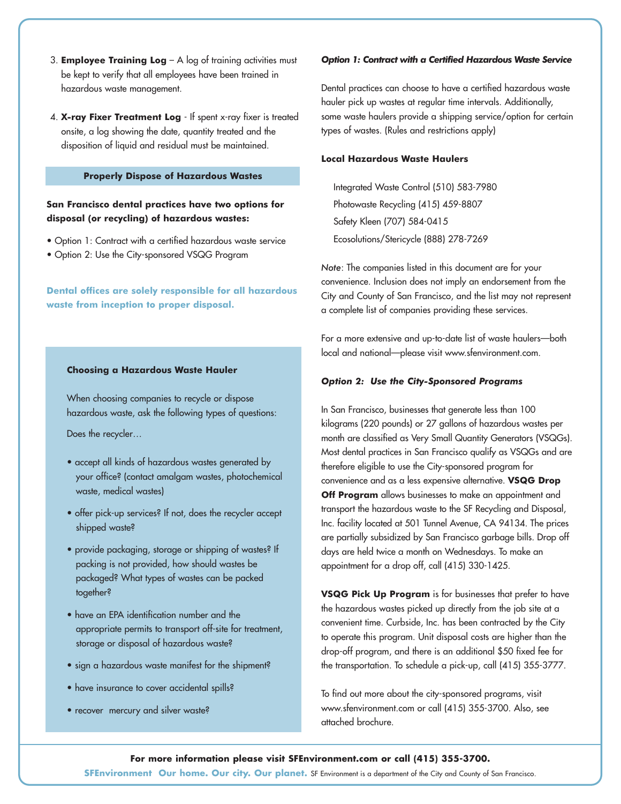- 3. **Employee Training Log** A log of training activities must be kept to verify that all employees have been trained in hazardous waste management.
- 4. **X-ray Fixer Treatment Log** If spent x-ray fixer is treated onsite, a log showing the date, quantity treated and the disposition of liquid and residual must be maintained.

### **Properly Dispose of Hazardous Wastes**

# **San Francisco dental practices have two options for disposal (or recycling) of hazardous wastes:**

- Option 1: Contract with a certified hazardous waste service
- Option 2: Use the City-sponsored VSQG Program

**Dental offices are solely responsible for all hazardous waste from inception to proper disposal.**

# **Choosing a Hazardous Waste Hauler**

When choosing companies to recycle or dispose hazardous waste, ask the following types of questions:

Does the recycler…

- accept all kinds of hazardous wastes generated by your office? (contact amalgam wastes, photochemical waste, medical wastes)
- offer pick-up services? If not, does the recycler accept shipped waste?
- provide packaging, storage or shipping of wastes? If packing is not provided, how should wastes be packaged? What types of wastes can be packed together?
- have an EPA identification number and the appropriate permits to transport off-site for treatment, storage or disposal of hazardous waste?
- sign a hazardous waste manifest for the shipment?
- have insurance to cover accidental spills?
- recover mercury and silver waste?

#### *Option 1: Contract with a Certified Hazardous Waste Service*

Dental practices can choose to have a certified hazardous waste hauler pick up wastes at regular time intervals. Additionally, some waste haulers provide a shipping service/option for certain types of wastes. (Rules and restrictions apply)

### **Local Hazardous Waste Haulers**

Integrated Waste Control (510) 583-7980 Photowaste Recycling (415) 459-8807 Safety Kleen (707) 584-0415 Ecosolutions/Stericycle (888) 278-7269

*Note*: The companies listed in this document are for your convenience. Inclusion does not imply an endorsement from the City and County of San Francisco, and the list may not represent a complete list of companies providing these services.

For a more extensive and up-to-date list of waste haulers—both local and national—please visit www.sfenvironment.com.

### *Option 2: Use the City-Sponsored Programs*

In San Francisco, businesses that generate less than 100 kilograms (220 pounds) or 27 gallons of hazardous wastes per month are classified as Very Small Quantity Generators (VSQGs). Most dental practices in San Francisco qualify as VSQGs and are therefore eligible to use the City-sponsored program for convenience and as a less expensive alternative. **VSQG Drop Off Program** allows businesses to make an appointment and transport the hazardous waste to the SF Recycling and Disposal, Inc. facility located at 501 Tunnel Avenue, CA 94134. The prices are partially subsidized by San Francisco garbage bills. Drop off days are held twice a month on Wednesdays. To make an appointment for a drop off, call (415) 330-1425.

**VSQG Pick Up Program** is for businesses that prefer to have the hazardous wastes picked up directly from the job site at a convenient time. Curbside, Inc. has been contracted by the City to operate this program. Unit disposal costs are higher than the drop-off program, and there is an additional \$50 fixed fee for the transportation. To schedule a pick-up, call (415) 355-3777.

To find out more about the city-sponsored programs, visit www.sfenvironment.com or call (415) 355-3700. Also, see attached brochure.

#### **For more information please visit SFEnvironment.com or call (415) 355-3700.**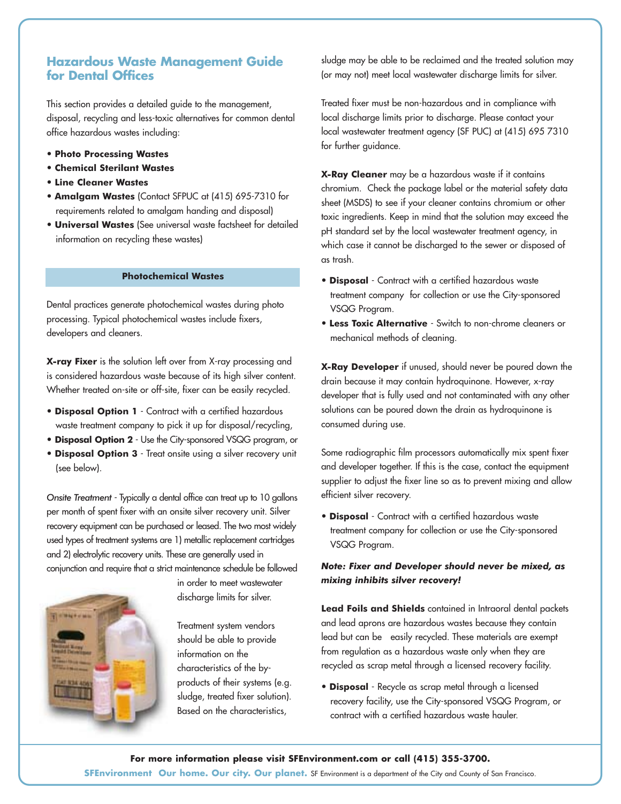# **Hazardous Waste Management Guide for Dental Offices**

This section provides a detailed guide to the management, disposal, recycling and less-toxic alternatives for common dental office hazardous wastes including:

- **Photo Processing Wastes**
- **Chemical Sterilant Wastes**
- **Line Cleaner Wastes**
- **Amalgam Wastes** (Contact SFPUC at (415) 695-7310 for requirements related to amalgam handing and disposal)
- **Universal Wastes** (See universal waste factsheet for detailed information on recycling these wastes)

# **Photochemical Wastes**

Dental practices generate photochemical wastes during photo processing. Typical photochemical wastes include fixers, developers and cleaners.

**X-ray Fixer** is the solution left over from X-ray processing and is considered hazardous waste because of its high silver content. Whether treated on-site or off-site, fixer can be easily recycled.

- **Disposal Option 1** Contract with a certified hazardous waste treatment company to pick it up for disposal/recycling,
- **Disposal Option 2** Use the City-sponsored VSQG program, or
- **Disposal Option 3** Treat onsite using a silver recovery unit (see below).

*Onsite Treatment* - Typically a dental office can treat up to 10 gallons per month of spent fixer with an onsite silver recovery unit. Silver recovery equipment can be purchased or leased. The two most widely used types of treatment systems are 1) metallic replacement cartridges and 2) electrolytic recovery units. These are generally used in conjunction and require that a strict maintenance schedule be followed



in order to meet wastewater discharge limits for silver.

Treatment system vendors should be able to provide information on the characteristics of the byproducts of their systems (e.g. sludge, treated fixer solution). Based on the characteristics,

sludge may be able to be reclaimed and the treated solution may (or may not) meet local wastewater discharge limits for silver.

Treated fixer must be non-hazardous and in compliance with local discharge limits prior to discharge. Please contact your local wastewater treatment agency (SF PUC) at (415) 695 7310 for further guidance.

**X-Ray Cleaner** may be a hazardous waste if it contains chromium. Check the package label or the material safety data sheet (MSDS) to see if your cleaner contains chromium or other toxic ingredients. Keep in mind that the solution may exceed the pH standard set by the local wastewater treatment agency, in which case it cannot be discharged to the sewer or disposed of as trash.

- **Disposal** Contract with a certified hazardous waste treatment company for collection or use the City-sponsored VSQG Program.
- **Less Toxic Alternative** Switch to non-chrome cleaners or mechanical methods of cleaning.

**X-Ray Developer** if unused, should never be poured down the drain because it may contain hydroquinone. However, x-ray developer that is fully used and not contaminated with any other solutions can be poured down the drain as hydroquinone is consumed during use.

Some radiographic film processors automatically mix spent fixer and developer together. If this is the case, contact the equipment supplier to adjust the fixer line so as to prevent mixing and allow efficient silver recovery.

• **Disposal** - Contract with a certified hazardous waste treatment company for collection or use the City-sponsored VSQG Program.

# *Note: Fixer and Developer should never be mixed, as mixing inhibits silver recovery!*

**Lead Foils and Shields** contained in Intraoral dental packets and lead aprons are hazardous wastes because they contain lead but can be easily recycled. These materials are exempt from regulation as a hazardous waste only when they are recycled as scrap metal through a licensed recovery facility.

• **Disposal** - Recycle as scrap metal through a licensed recovery facility, use the City-sponsored VSQG Program, or contract with a certified hazardous waste hauler.

**For more information please visit SFEnvironment.com or call (415) 355-3700. SFEnvironment Our home. Our city. Our planet.** SF Environment is a department of the City and County of San Francisco.